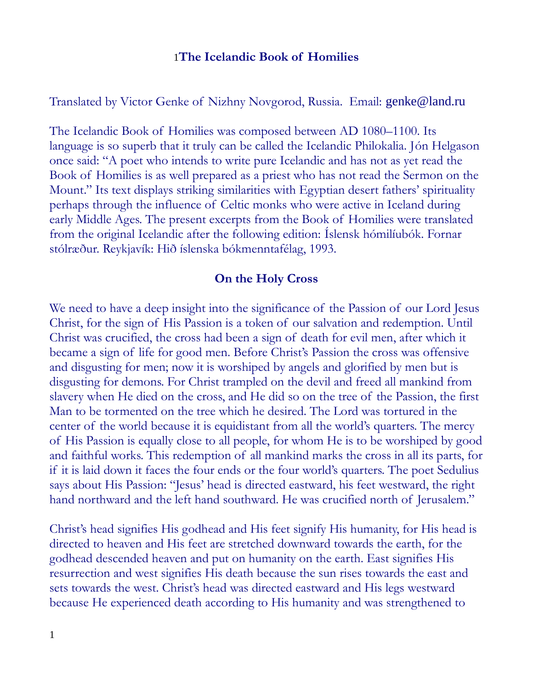## 1**The Icelandic Book of Homilies**

Translated by Victor Genke of Nizhny Novgorod, Russia. Email: genke@land.ru

The Icelandic Book of Homilies was composed between AD 1080–1100. Its language is so superb that it truly can be called the Icelandic Philokalia. Jón Helgason once said: "A poet who intends to write pure Icelandic and has not as yet read the Book of Homilies is as well prepared as a priest who has not read the Sermon on the Mount." Its text displays striking similarities with Egyptian desert fathers' spirituality perhaps through the influence of Celtic monks who were active in Iceland during early Middle Ages. The present excerpts from the Book of Homilies were translated from the original Icelandic after the following edition: Íslensk hómilíubók. Fornar stólræður. Reykjavík: Hið íslenska bókmenntafélag, 1993.

## **On the Holy Cross**

We need to have a deep insight into the significance of the Passion of our Lord Jesus Christ, for the sign of His Passion is a token of our salvation and redemption. Until Christ was crucified, the cross had been a sign of death for evil men, after which it became a sign of life for good men. Before Christ's Passion the cross was offensive and disgusting for men; now it is worshiped by angels and glorified by men but is disgusting for demons. For Christ trampled on the devil and freed all mankind from slavery when He died on the cross, and He did so on the tree of the Passion, the first Man to be tormented on the tree which he desired. The Lord was tortured in the center of the world because it is equidistant from all the world's quarters. The mercy of His Passion is equally close to all people, for whom He is to be worshiped by good and faithful works. This redemption of all mankind marks the cross in all its parts, for if it is laid down it faces the four ends or the four world's quarters. The poet Sedulius says about His Passion: "Jesus' head is directed eastward, his feet westward, the right hand northward and the left hand southward. He was crucified north of Jerusalem."

Christ's head signifies His godhead and His feet signify His humanity, for His head is directed to heaven and His feet are stretched downward towards the earth, for the godhead descended heaven and put on humanity on the earth. East signifies His resurrection and west signifies His death because the sun rises towards the east and sets towards the west. Christ's head was directed eastward and His legs westward because He experienced death according to His humanity and was strengthened to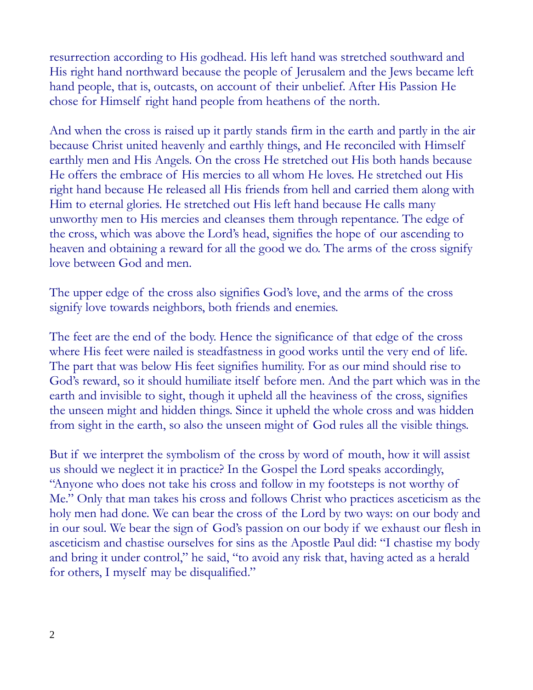resurrection according to His godhead. His left hand was stretched southward and His right hand northward because the people of Jerusalem and the Jews became left hand people, that is, outcasts, on account of their unbelief. After His Passion He chose for Himself right hand people from heathens of the north.

And when the cross is raised up it partly stands firm in the earth and partly in the air because Christ united heavenly and earthly things, and He reconciled with Himself earthly men and His Angels. On the cross He stretched out His both hands because He offers the embrace of His mercies to all whom He loves. He stretched out His right hand because He released all His friends from hell and carried them along with Him to eternal glories. He stretched out His left hand because He calls many unworthy men to His mercies and cleanses them through repentance. The edge of the cross, which was above the Lord's head, signifies the hope of our ascending to heaven and obtaining a reward for all the good we do. The arms of the cross signify love between God and men.

The upper edge of the cross also signifies God's love, and the arms of the cross signify love towards neighbors, both friends and enemies.

The feet are the end of the body. Hence the significance of that edge of the cross where His feet were nailed is steadfastness in good works until the very end of life. The part that was below His feet signifies humility. For as our mind should rise to God's reward, so it should humiliate itself before men. And the part which was in the earth and invisible to sight, though it upheld all the heaviness of the cross, signifies the unseen might and hidden things. Since it upheld the whole cross and was hidden from sight in the earth, so also the unseen might of God rules all the visible things.

But if we interpret the symbolism of the cross by word of mouth, how it will assist us should we neglect it in practice? In the Gospel the Lord speaks accordingly, "Anyone who does not take his cross and follow in my footsteps is not worthy of Me." Only that man takes his cross and follows Christ who practices asceticism as the holy men had done. We can bear the cross of the Lord by two ways: on our body and in our soul. We bear the sign of God's passion on our body if we exhaust our flesh in asceticism and chastise ourselves for sins as the Apostle Paul did: "I chastise my body and bring it under control," he said, "to avoid any risk that, having acted as a herald for others, I myself may be disqualified."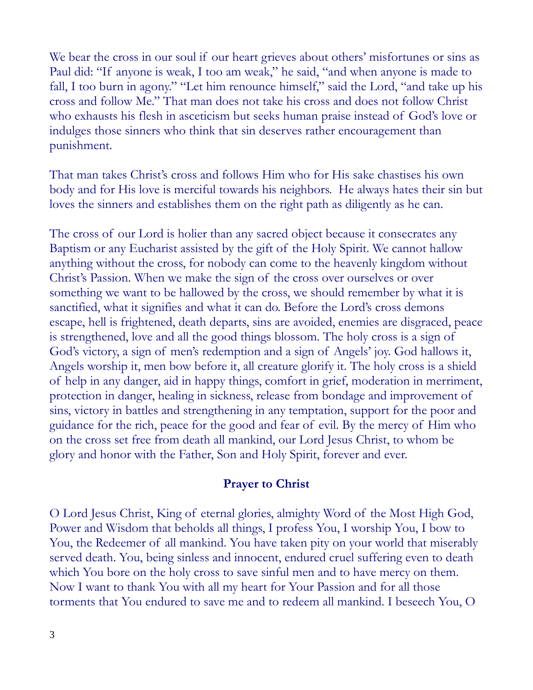We bear the cross in our soul if our heart grieves about others' misfortunes or sins as Paul did: "If anyone is weak, I too am weak," he said, "and when anyone is made to fall, I too burn in agony." "Let him renounce himself," said the Lord, "and take up his cross and follow Me." That man does not take his cross and does not follow Christ who exhausts his flesh in asceticism but seeks human praise instead of God's love or indulges those sinners who think that sin deserves rather encouragement than punishment.

That man takes Christ's cross and follows Him who for His sake chastises his own body and for His love is merciful towards his neighbors. He always hates their sin but loves the sinners and establishes them on the right path as diligently as he can.

The cross of our Lord is holier than any sacred object because it consecrates any Baptism or any Eucharist assisted by the gift of the Holy Spirit. We cannot hallow anything without the cross, for nobody can come to the heavenly kingdom without Christ's Passion. When we make the sign of the cross over ourselves or over something we want to be hallowed by the cross, we should remember by what it is sanctified, what it signifies and what it can do. Before the Lord's cross demons escape, hell is frightened, death departs, sins are avoided, enemies are disgraced, peace is strengthened, love and all the good things blossom. The holy cross is a sign of God's victory, a sign of men's redemption and a sign of Angels' joy. God hallows it, Angels worship it, men bow before it, all creature glorify it. The holy cross is a shield of help in any danger, aid in happy things, comfort in grief, moderation in merriment, protection in danger, healing in sickness, release from bondage and improvement of sins, victory in battles and strengthening in any temptation, support for the poor and guidance for the rich, peace for the good and fear of evil. By the mercy of Him who on the cross set free from death all mankind, our Lord Jesus Christ, to whom be glory and honor with the Father, Son and Holy Spirit, forever and ever.

## **Prayer to Christ**

O Lord Jesus Christ, King of eternal glories, almighty Word of the Most High God, Power and Wisdom that beholds all things, I profess You, I worship You, I bow to You, the Redeemer of all mankind. You have taken pity on your world that miserably served death. You, being sinless and innocent, endured cruel suffering even to death which You bore on the holy cross to save sinful men and to have mercy on them. Now I want to thank You with all my heart for Your Passion and for all those torments that You endured to save me and to redeem all mankind. I beseech You, O